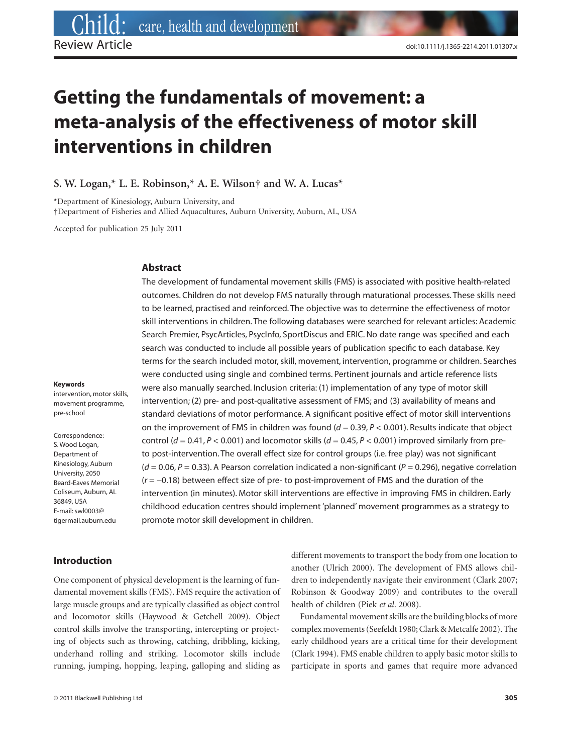# **Getting the fundamentals of movement: a meta-analysis of the effectiveness of motor skill interventions in children**

**S. W. Logan,\* L. E. Robinson,\* A. E. Wilson† and W. A. Lucas\***

\*Department of Kinesiology, Auburn University, and †Department of Fisheries and Allied Aquacultures, Auburn University, Auburn, AL, USA

Accepted for publication 25 July 2011

#### **Abstract**

The development of fundamental movement skills (FMS) is associated with positive health-related outcomes. Children do not develop FMS naturally through maturational processes. These skills need to be learned, practised and reinforced. The objective was to determine the effectiveness of motor skill interventions in children. The following databases were searched for relevant articles: Academic Search Premier, PsycArticles, PsycInfo, SportDiscus and ERIC. No date range was specified and each search was conducted to include all possible years of publication specific to each database. Key terms for the search included motor, skill, movement, intervention, programme or children. Searches were conducted using single and combined terms. Pertinent journals and article reference lists were also manually searched. Inclusion criteria: (1) implementation of any type of motor skill intervention; (2) pre- and post-qualitative assessment of FMS; and (3) availability of means and standard deviations of motor performance. A significant positive effect of motor skill interventions on the improvement of FMS in children was found  $(d = 0.39, P < 0.001)$ . Results indicate that object control ( $d = 0.41$ ,  $P < 0.001$ ) and locomotor skills ( $d = 0.45$ ,  $P < 0.001$ ) improved similarly from preto post-intervention. The overall effect size for control groups (i.e. free play) was not significant  $(d = 0.06, P = 0.33)$ . A Pearson correlation indicated a non-significant  $(P = 0.296)$ , negative correlation (*r* = -0.18) between effect size of pre- to post-improvement of FMS and the duration of the intervention (in minutes). Motor skill interventions are effective in improving FMS in children. Early childhood education centres should implement 'planned' movement programmes as a strategy to promote motor skill development in children.

#### **Keywords**

intervention, motor skills, movement programme, pre-school

Correspondence: S. Wood Logan, Department of Kinesiology, Auburn University, 2050 Beard-Eaves Memorial Coliseum, Auburn, AL 36849, USA E-mail: swl0003@ tigermail.auburn.edu

### **Introduction**

One component of physical development is the learning of fundamental movement skills (FMS). FMS require the activation of large muscle groups and are typically classified as object control and locomotor skills (Haywood & Getchell 2009). Object control skills involve the transporting, intercepting or projecting of objects such as throwing, catching, dribbling, kicking, underhand rolling and striking. Locomotor skills include running, jumping, hopping, leaping, galloping and sliding as

© 2011 Blackwell Publishing Ltd **305**

different movements to transport the body from one location to another (Ulrich 2000). The development of FMS allows children to independently navigate their environment (Clark 2007; Robinson & Goodway 2009) and contributes to the overall health of children (Piek *et al*. 2008).

Fundamental movement skills are the building blocks of more complex movements (Seefeldt 1980; Clark & Metcalfe 2002). The early childhood years are a critical time for their development (Clark 1994). FMS enable children to apply basic motor skills to participate in sports and games that require more advanced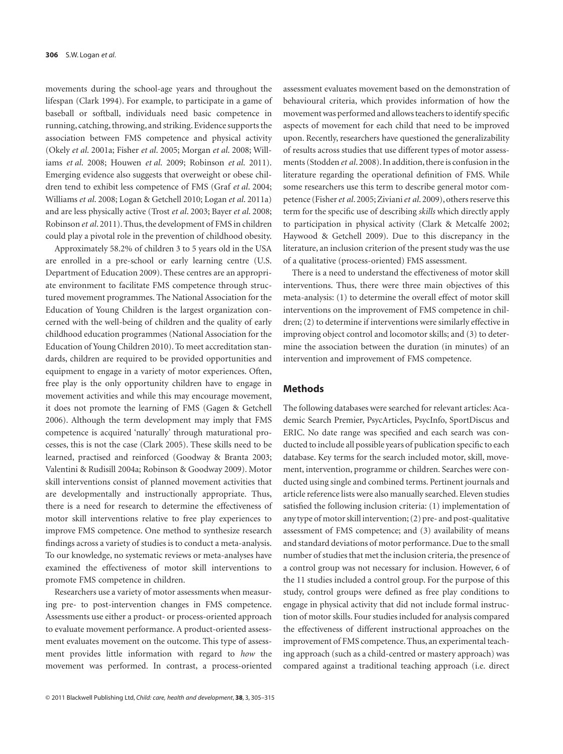movements during the school-age years and throughout the lifespan (Clark 1994). For example, to participate in a game of baseball or softball, individuals need basic competence in running, catching, throwing, and striking. Evidence supports the association between FMS competence and physical activity (Okely *et al*. 2001a; Fisher *et al*. 2005; Morgan *et al*. 2008; Williams *et al*. 2008; Houwen *et al*. 2009; Robinson *et al*. 2011). Emerging evidence also suggests that overweight or obese children tend to exhibit less competence of FMS (Graf *et al*. 2004; Williams *et al*. 2008; Logan & Getchell 2010; Logan *et al*. 2011a) and are less physically active (Trost *et al*. 2003; Bayer *et al*. 2008; Robinson *et al*. 2011). Thus, the development of FMS in children could play a pivotal role in the prevention of childhood obesity.

Approximately 58.2% of children 3 to 5 years old in the USA are enrolled in a pre-school or early learning centre (U.S. Department of Education 2009). These centres are an appropriate environment to facilitate FMS competence through structured movement programmes. The National Association for the Education of Young Children is the largest organization concerned with the well-being of children and the quality of early childhood education programmes (National Association for the Education of Young Children 2010). To meet accreditation standards, children are required to be provided opportunities and equipment to engage in a variety of motor experiences. Often, free play is the only opportunity children have to engage in movement activities and while this may encourage movement, it does not promote the learning of FMS (Gagen & Getchell 2006). Although the term development may imply that FMS competence is acquired 'naturally' through maturational processes, this is not the case (Clark 2005). These skills need to be learned, practised and reinforced (Goodway & Branta 2003; Valentini & Rudisill 2004a; Robinson & Goodway 2009). Motor skill interventions consist of planned movement activities that are developmentally and instructionally appropriate. Thus, there is a need for research to determine the effectiveness of motor skill interventions relative to free play experiences to improve FMS competence. One method to synthesize research findings across a variety of studies is to conduct a meta-analysis. To our knowledge, no systematic reviews or meta-analyses have examined the effectiveness of motor skill interventions to promote FMS competence in children.

Researchers use a variety of motor assessments when measuring pre- to post-intervention changes in FMS competence. Assessments use either a product- or process-oriented approach to evaluate movement performance. A product-oriented assessment evaluates movement on the outcome. This type of assessment provides little information with regard to *how* the movement was performed. In contrast, a process-oriented assessment evaluates movement based on the demonstration of behavioural criteria, which provides information of how the movement was performed and allows teachers to identify specific aspects of movement for each child that need to be improved upon. Recently, researchers have questioned the generalizability of results across studies that use different types of motor assessments (Stodden *et al*. 2008). In addition, there is confusion in the literature regarding the operational definition of FMS. While some researchers use this term to describe general motor competence (Fisher*et al*. 2005; Ziviani*et al*. 2009), others reserve this term for the specific use of describing *skills* which directly apply to participation in physical activity (Clark & Metcalfe 2002; Haywood & Getchell 2009). Due to this discrepancy in the literature, an inclusion criterion of the present study was the use of a qualitative (process-oriented) FMS assessment.

There is a need to understand the effectiveness of motor skill interventions. Thus, there were three main objectives of this meta-analysis: (1) to determine the overall effect of motor skill interventions on the improvement of FMS competence in children; (2) to determine if interventions were similarly effective in improving object control and locomotor skills; and (3) to determine the association between the duration (in minutes) of an intervention and improvement of FMS competence.

#### **Methods**

The following databases were searched for relevant articles: Academic Search Premier, PsycArticles, PsycInfo, SportDiscus and ERIC. No date range was specified and each search was conducted to include all possible years of publication specific to each database. Key terms for the search included motor, skill, movement, intervention, programme or children. Searches were conducted using single and combined terms. Pertinent journals and article reference lists were also manually searched. Eleven studies satisfied the following inclusion criteria: (1) implementation of any type of motor skill intervention; (2) pre- and post-qualitative assessment of FMS competence; and (3) availability of means and standard deviations of motor performance. Due to the small number of studies that met the inclusion criteria, the presence of a control group was not necessary for inclusion. However, 6 of the 11 studies included a control group. For the purpose of this study, control groups were defined as free play conditions to engage in physical activity that did not include formal instruction of motor skills. Four studies included for analysis compared the effectiveness of different instructional approaches on the improvement of FMS competence. Thus, an experimental teaching approach (such as a child-centred or mastery approach) was compared against a traditional teaching approach (i.e. direct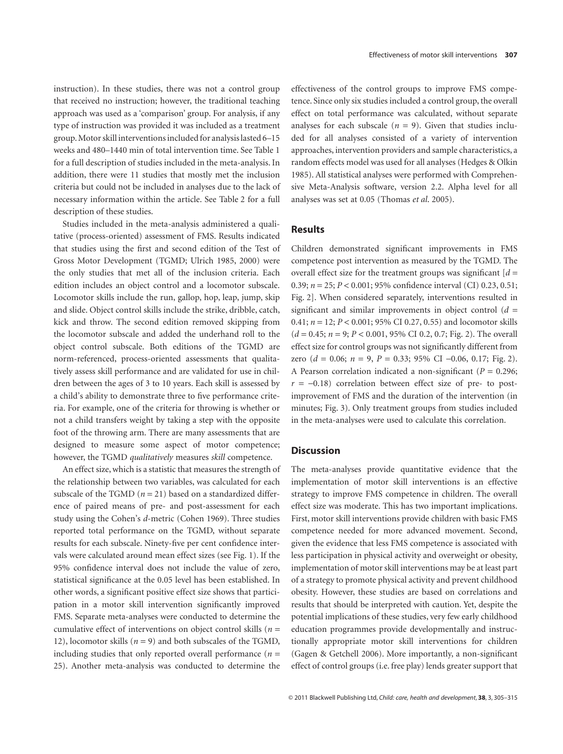instruction). In these studies, there was not a control group that received no instruction; however, the traditional teaching approach was used as a 'comparison' group. For analysis, if any type of instruction was provided it was included as a treatment group. Motor skill interventions included for analysis lasted 6–15 weeks and 480–1440 min of total intervention time. See Table 1 for a full description of studies included in the meta-analysis. In addition, there were 11 studies that mostly met the inclusion criteria but could not be included in analyses due to the lack of necessary information within the article. See Table 2 for a full description of these studies.

Studies included in the meta-analysis administered a qualitative (process-oriented) assessment of FMS. Results indicated that studies using the first and second edition of the Test of Gross Motor Development (TGMD; Ulrich 1985, 2000) were the only studies that met all of the inclusion criteria. Each edition includes an object control and a locomotor subscale. Locomotor skills include the run, gallop, hop, leap, jump, skip and slide. Object control skills include the strike, dribble, catch, kick and throw. The second edition removed skipping from the locomotor subscale and added the underhand roll to the object control subscale. Both editions of the TGMD are norm-referenced, process-oriented assessments that qualitatively assess skill performance and are validated for use in children between the ages of 3 to 10 years. Each skill is assessed by a child's ability to demonstrate three to five performance criteria. For example, one of the criteria for throwing is whether or not a child transfers weight by taking a step with the opposite foot of the throwing arm. There are many assessments that are designed to measure some aspect of motor competence; however, the TGMD *qualitatively* measures *skill* competence.

An effect size, which is a statistic that measures the strength of the relationship between two variables, was calculated for each subscale of the TGMD  $(n = 21)$  based on a standardized difference of paired means of pre- and post-assessment for each study using the Cohen's *d*-metric (Cohen 1969). Three studies reported total performance on the TGMD, without separate results for each subscale. Ninety-five per cent confidence intervals were calculated around mean effect sizes (see Fig. 1). If the 95% confidence interval does not include the value of zero, statistical significance at the 0.05 level has been established. In other words, a significant positive effect size shows that participation in a motor skill intervention significantly improved FMS. Separate meta-analyses were conducted to determine the cumulative effect of interventions on object control skills (*n* = 12), locomotor skills  $(n = 9)$  and both subscales of the TGMD, including studies that only reported overall performance  $(n =$ 25). Another meta-analysis was conducted to determine the

effectiveness of the control groups to improve FMS competence. Since only six studies included a control group, the overall effect on total performance was calculated, without separate analyses for each subscale  $(n = 9)$ . Given that studies included for all analyses consisted of a variety of intervention approaches, intervention providers and sample characteristics, a random effects model was used for all analyses (Hedges & Olkin 1985). All statistical analyses were performed with Comprehensive Meta-Analysis software, version 2.2. Alpha level for all analyses was set at 0.05 (Thomas *et al*. 2005).

## **Results**

Children demonstrated significant improvements in FMS competence post intervention as measured by the TGMD. The overall effect size for the treatment groups was significant  $d =$ 0.39; *n* = 25; *P* < 0.001; 95% confidence interval (CI) 0.23, 0.51; Fig. 2]. When considered separately, interventions resulted in significant and similar improvements in object control  $(d =$ 0.41; *n* = 12; *P* < 0.001; 95% CI 0.27, 0.55) and locomotor skills (*d* = 0.45; *n* = 9; *P* < 0.001, 95% CI 0.2, 0.7; Fig. 2). The overall effect size for control groups was not significantly different from zero (*d* = 0.06; *n* = 9, *P* = 0.33; 95% CI -0.06, 0.17; Fig. 2). A Pearson correlation indicated a non-significant (*P* = 0.296;  $r = -0.18$ ) correlation between effect size of pre- to postimprovement of FMS and the duration of the intervention (in minutes; Fig. 3). Only treatment groups from studies included in the meta-analyses were used to calculate this correlation.

# **Discussion**

The meta-analyses provide quantitative evidence that the implementation of motor skill interventions is an effective strategy to improve FMS competence in children. The overall effect size was moderate. This has two important implications. First, motor skill interventions provide children with basic FMS competence needed for more advanced movement. Second, given the evidence that less FMS competence is associated with less participation in physical activity and overweight or obesity, implementation of motor skill interventions may be at least part of a strategy to promote physical activity and prevent childhood obesity. However, these studies are based on correlations and results that should be interpreted with caution. Yet, despite the potential implications of these studies, very few early childhood education programmes provide developmentally and instructionally appropriate motor skill interventions for children (Gagen & Getchell 2006). More importantly, a non-significant effect of control groups (i.e. free play) lends greater support that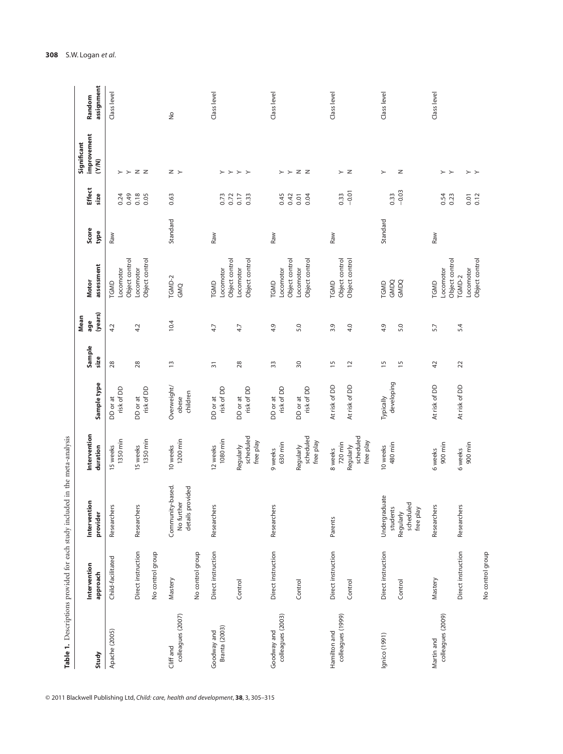|                   |                          | Table 1. Descriptions provided for each study included in the meta-analysis |                                     |                   |                 |                        |                             |               |                       |                                   |                      |
|-------------------|--------------------------|-----------------------------------------------------------------------------|-------------------------------------|-------------------|-----------------|------------------------|-----------------------------|---------------|-----------------------|-----------------------------------|----------------------|
| Study             | Intervention<br>approach | Intervention<br>provider                                                    | Intervention<br>duration            | Sample type       | Sample<br>size  | (years)<br>Mean<br>age | assessment<br><b>Motor</b>  | Score<br>type | <b>Effect</b><br>size | improvement<br>Significant<br>(1) | assignment<br>Random |
| Apache (2005)     | Child-facilitated        | Researchers                                                                 | 15 weeks                            | DD or at          | 28              | 4.2                    | TGMD                        | Raw           |                       |                                   | Class level          |
|                   |                          |                                                                             | 1350 min                            | risk of DD        |                 |                        | Object control<br>Locomotor |               | 0.24<br>0.49          | $\succ$                           |                      |
|                   | Direct instruction       | Researchers                                                                 | 15 weeks                            | DD or at          | 28              | 4.2                    | Locomotor                   |               | 0.18                  | $Z$ $Z$                           |                      |
|                   | No control group         |                                                                             | 1350 min                            | risk of DD        |                 |                        | Object control              |               | 0.05                  |                                   |                      |
| Cliff and         | Mastery                  | Community-based.                                                            | 10 weeks                            | Overweight/       | $\overline{1}$  | 10.4                   | TGMD-2                      | Standard      | 0.63                  | z >                               | $\frac{1}{2}$        |
| colleagues (2007) |                          | details provided<br>No further                                              | 1200 min                            | children<br>obese |                 |                        | GMQ                         |               |                       |                                   |                      |
|                   | No control group         |                                                                             |                                     |                   |                 |                        |                             |               |                       |                                   |                      |
| Goodway and       | Direct instruction       | Researchers                                                                 | 12 weeks                            | DD or at          | $\overline{31}$ | 4.7                    | TGMD                        | Raw           |                       |                                   | Class level          |
| Branta (2003)     |                          |                                                                             | 1080 min                            | risk of DD        |                 |                        | Object control<br>Locomotor |               | 0.73<br>0.72          | $>$ $>$ $>$ $>$                   |                      |
|                   | Control                  |                                                                             | Regularly                           | DD or at          | 28              | 4.7                    | Locomotor                   |               | 0.17                  |                                   |                      |
|                   |                          |                                                                             | scheduled<br>free play              | risk of DD        |                 |                        | Object control              |               | 0.33                  |                                   |                      |
| Goodway and       | Direct instruction       | Researchers                                                                 | 9 weeks                             | DD or at          | 33              | 4.9                    | TGMD                        | Raw           |                       |                                   | Class level          |
| colleagues (2003) |                          |                                                                             | 630 min                             | risk of DD        |                 |                        | Locomotor                   |               | 0.45                  | ≻                                 |                      |
|                   |                          |                                                                             |                                     |                   |                 |                        | Object control              |               | 0.42                  | $\succ$                           |                      |
|                   | Control                  |                                                                             | Regularly                           | DD or at          | $\overline{50}$ | 5.0                    | Locomotor                   |               | 0.01                  | $Z$ $Z$                           |                      |
|                   |                          |                                                                             | scheduled<br>free play              | risk of DD        |                 |                        | Object control              |               | 0.04                  |                                   |                      |
| Hamilton and      | Direct instruction       | Parents                                                                     | 8 weeks                             | At risk of DD     | $\frac{5}{1}$   | 3.9                    | TGMD                        | Raw           |                       |                                   | Class level          |
| colleagues (1999) |                          |                                                                             | 720 min                             |                   |                 |                        | Object control              |               | 0.33                  | $\angle$ z                        |                      |
|                   | Control                  |                                                                             | scheduled<br>free play<br>Regularly | At risk of DD     | $\overline{c}$  | 4.0                    | Object control              |               | $-0.01$               |                                   |                      |
| Ignico (1991)     | Direct instruction       | Undergraduate                                                               | 10 weeks                            | Typically         | $\overline{1}$  | 4.9                    | TGMD                        | Standard      |                       | $\succ$                           | Class level          |
|                   |                          | students                                                                    | 480 min                             | developing        |                 |                        | GMDQ                        |               | 0.33                  |                                   |                      |
|                   | Control                  | scheduled<br>free play<br>Regularly                                         |                                     |                   | $\overline{15}$ | 5.0                    | GMDQ                        |               | $-0.03$               | $\mathsf{z}$                      |                      |
| Martin and        | Mastery                  | Researchers                                                                 | 6 weeks                             | At risk of DD     | 42              | 5.7                    | TGMD                        | Raw           |                       |                                   | Class level          |
| colleagues (2009) |                          |                                                                             | 900 min                             |                   |                 |                        | Object control<br>Locomotor |               | 0.54<br>0.23          | $>$ $>$                           |                      |
|                   | Direct instruction       | Researchers                                                                 | 6 weeks                             | At risk of DD     | 22              | 5.4                    | TGMD-2                      |               |                       |                                   |                      |
|                   |                          |                                                                             | 900 min                             |                   |                 |                        | Object control<br>Locomotor |               | 0.12<br>0.01          | $>$ $>$                           |                      |
|                   | No control group         |                                                                             |                                     |                   |                 |                        |                             |               |                       |                                   |                      |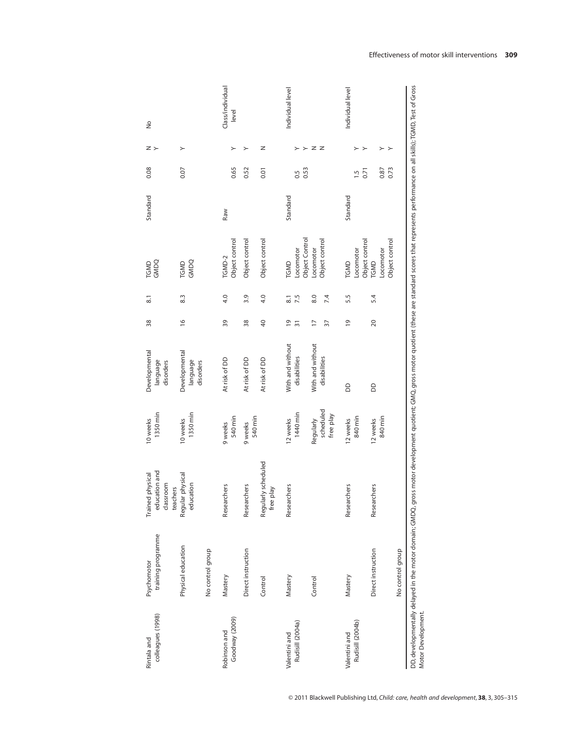| colleagues (1998)<br>Rintala and  | training programme<br>Psychomotor | education and<br>Trained physical<br>classroom<br>teachers | 1350 min<br>10 weeks                | Developmental<br>language<br>disorders | 38                                | $\overline{8}$ .        | TGMD<br>GMDQ                                  | Standard | 0.08           | z >                                  | $\frac{1}{2}$             |
|-----------------------------------|-----------------------------------|------------------------------------------------------------|-------------------------------------|----------------------------------------|-----------------------------------|-------------------------|-----------------------------------------------|----------|----------------|--------------------------------------|---------------------------|
|                                   | Physical education                | Regular physical<br>education                              | 1350 min<br>10 weeks                | Developmental<br>language<br>disorders | $\frac{8}{1}$                     | 8.3                     | GMDQ<br>TGMD                                  |          | 0.07           | $\geq$                               |                           |
|                                   | No control group                  |                                                            |                                     |                                        |                                   |                         |                                               |          |                |                                      |                           |
| Goodway (2009)<br>Robinson and    | Mastery                           | Researchers                                                | 540 min<br>9 weeks                  | At risk of DD                          | 39                                | 4.0                     | Object control<br>TGMD-2                      | Raw      | 0.65           | ≻                                    | Class/individual<br>level |
|                                   | Direct instruction                | Researchers                                                | 540 min<br>9 weeks                  | At risk of DD                          | 38                                | 3.9                     | Object control                                |          | 0.52           | ≻                                    |                           |
|                                   | Control                           | Regularly scheduled<br>free play                           |                                     | At risk of DD                          | $\overline{a}$                    | 4.0                     | Object control                                |          | 0.01           | z                                    |                           |
| Rudisill (2004a)<br>Valentini and | Mastery                           | Researchers                                                | 1440 min<br>12 weeks                | With and without<br>disabilities       | $\overline{6}$<br>$\overline{31}$ | 7.5<br>$\overline{8}$ . | <b>ocomotor</b><br>TGMD                       | Standard | 0.5            |                                      | Individual level          |
|                                   | Control                           |                                                            | scheduled<br>free play<br>Regularly | With and without<br>disabilities       | $\overline{1}$<br>57              | 8.0<br>7.4              | Object Control<br>Object control<br>-ocomotor |          | 0.53           | z<br>$\overline{z}$<br>$\rightarrow$ |                           |
| Rudisill (2004b)<br>Valentini and | Mastery                           | Researchers                                                | 840 min<br>12 weeks                 | 8                                      | $\overline{9}$                    | 5.5                     | .ocomotor<br>TGMD                             | Standard | $\overline{5}$ |                                      | Individual level          |
|                                   | Direct instruction                | Researchers                                                | 840 min<br>12 weeks                 | 6                                      | $\overline{c}$                    | 5.4                     | Object control<br>-ocomotor<br>TGMD           |          | 0.87<br>0.71   | $\succ$<br>$\rightarrow$             |                           |
|                                   | No control group                  |                                                            |                                     |                                        |                                   |                         | Object control                                |          | 0.73           | $\rightarrow$                        |                           |

Motor Development. Motor Development.

© 2011 Blackwell Publishing Ltd, *Child: care, health and development*, **38**, 3, 305–315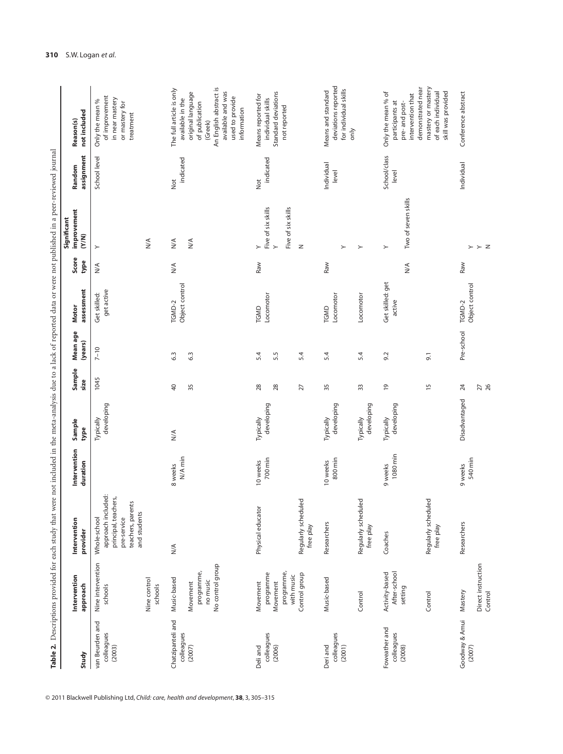|                                         |                                                        | Table 2. Descriptions provided for each study that were not included in the meta-analysis due to a lack of reported data or were not published in a peer-reviewed journal |                          |                         |                |                     |                            |                         |                                                           |                       |                                                                                                                                 |
|-----------------------------------------|--------------------------------------------------------|---------------------------------------------------------------------------------------------------------------------------------------------------------------------------|--------------------------|-------------------------|----------------|---------------------|----------------------------|-------------------------|-----------------------------------------------------------|-----------------------|---------------------------------------------------------------------------------------------------------------------------------|
| Study                                   | Intervention<br>approach                               | Intervention<br>provider                                                                                                                                                  | Intervention<br>duration | Sample<br>type          | Sample<br>size | Mean age<br>(years) | assessment<br>Motor        | Score<br>type           | improvement<br>Significant<br>(N/N)                       | assignment<br>Random  | not included<br>Reason(s)                                                                                                       |
| van Beurden and<br>colleagues<br>(2003) | Nine intervention<br>Nine control<br>schools           | approach included:<br>principal, teachers,<br>teachers, parents<br>and students<br>pre-service<br>Whole-school                                                            |                          | developing<br>Typically | 1045           | $7 - 10$            | get active<br>Get skilled: | $\stackrel{\leq}{\geq}$ | $\frac{4}{\sqrt{2}}$<br>$\succ$                           | School level          | of improvement<br>in near mastery<br>Only the mean %<br>or mastery for<br>treatment                                             |
|                                         | schools                                                |                                                                                                                                                                           |                          |                         |                |                     |                            |                         |                                                           |                       |                                                                                                                                 |
| Chatzipanteli and<br>colleagues         | Music-based                                            | $\frac{1}{2}$                                                                                                                                                             | N/A min<br>8 weeks       | N/A                     | $\overline{4}$ | 6.3                 | Object control<br>TGMD-2   | $\frac{4}{\sqrt{2}}$    | $\leq$                                                    | indicated<br>Not      | The full article is only<br>available in the                                                                                    |
| (2007)                                  | No control group<br>programme,<br>no music<br>Movement |                                                                                                                                                                           |                          |                         | 35             | 6.3                 |                            |                         | $\frac{4}{\sqrt{2}}$                                      |                       | An English abstract is<br>available and was<br>original language<br>used to provide<br>of publication<br>information<br>(Greek) |
| Deli and                                | Movement                                               | Physical educator                                                                                                                                                         | 10 weeks                 | Typically               | 28             | 5.4                 | TGMD                       | Raw                     | $\succ$                                                   | Not                   | Means reported for                                                                                                              |
| colleagues<br>(2006)                    | programme,<br>programme<br>with music<br>Movement      |                                                                                                                                                                           | 700 min                  | developing              | 28             | 5.5                 | Locomotor                  |                         | Five of six skills<br>Five of six skills<br>$\rightarrow$ | indicated             | Standard deviations<br>individual skills<br>not reported                                                                        |
|                                         | Control group                                          | Regularly scheduled<br>free play                                                                                                                                          |                          |                         | 27             | 5.4                 |                            |                         | $\geq$                                                    |                       |                                                                                                                                 |
| colleagues<br>Deri and<br>(2001)        | Music-based                                            | Researchers                                                                                                                                                               | 800 min<br>10 weeks      | developing<br>Typically | 35             | 5.4                 | Locomotor<br>TGMD          | Raw                     | $\succ$                                                   | Individual<br>level   | deviations reported<br>for individual skills<br>Means and standard                                                              |
|                                         | Control                                                | Regularly scheduled<br>free play                                                                                                                                          |                          | developing<br>Typically | 33             | 5.4                 | Locomotor                  |                         | $\succ$                                                   |                       | only                                                                                                                            |
| Foweather and<br>colleagues<br>(2008)   | Activity-based<br>After-school<br>setting              | Coaches                                                                                                                                                                   | 1080 min<br>9 weeks      | developing<br>Typically | $\overline{6}$ | 9.2                 | Get skilled: get<br>active | $\frac{4}{\sqrt{2}}$    | Two of seven skills<br>$\succ$                            | School/class<br>level | Only the mean % of<br>intervention that<br>participants at<br>pre- and post-                                                    |
|                                         | Control                                                | Regularly scheduled<br>free play                                                                                                                                          |                          |                         | $\frac{5}{1}$  | $\overline{5}$      |                            |                         |                                                           |                       | mastery or mastery<br>demonstrated near<br>of each individual<br>skill was provided                                             |
| Goodway & Amui<br>(2007)                | Mastery                                                | Researchers                                                                                                                                                               | 540 min<br>9 weeks       | Disadvantaged           | 24             | Pre-school          | Object control<br>TGMD-2   | Raw                     | $\succ$                                                   | Individual            | Conference abstract                                                                                                             |
|                                         | Direct instruction<br>Control                          |                                                                                                                                                                           |                          |                         | 27<br>26       |                     |                            |                         | > z                                                       |                       |                                                                                                                                 |

© 2011 Blackwell Publishing Ltd, *Child: care, health and development*, **38**, 3, 305–315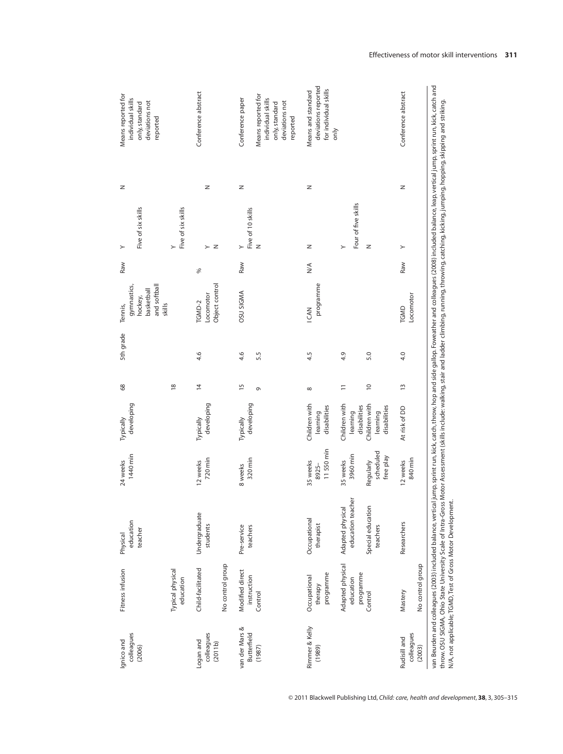| colleagues<br>Ignico and<br>(2006)   | Fitness infusion                                      | education<br>teacher<br>Physical                                                                                                                                                                                                                                                                                                                                                                                                                                                                               | 1440 min<br>24 weeks                           | developing<br>Typically                                                | 68                               | 5th grade  | and softball<br>gymnastics,<br>basketball<br>hockey,<br>skills<br>Tennis, | Raw    | Five of six skills<br>≻       | z | Means reported for<br>individual skills<br>deviations not<br>only, standard<br>reported |
|--------------------------------------|-------------------------------------------------------|----------------------------------------------------------------------------------------------------------------------------------------------------------------------------------------------------------------------------------------------------------------------------------------------------------------------------------------------------------------------------------------------------------------------------------------------------------------------------------------------------------------|------------------------------------------------|------------------------------------------------------------------------|----------------------------------|------------|---------------------------------------------------------------------------|--------|-------------------------------|---|-----------------------------------------------------------------------------------------|
|                                      | Typical physical<br>education                         |                                                                                                                                                                                                                                                                                                                                                                                                                                                                                                                |                                                |                                                                        | $\frac{8}{2}$                    |            |                                                                           |        | Five of six skills<br>≻       |   |                                                                                         |
| colleagues<br>Logan and<br>(2011b)   | No control group<br>Child-facilitated                 | Undergraduate<br>students                                                                                                                                                                                                                                                                                                                                                                                                                                                                                      | 720 min<br>12 weeks                            | developing<br>Typically                                                | $\overline{4}$                   | 4.6        | Object control<br>Locomotor<br>TGMD-2                                     | ℅      | z<br>≻                        | z | Conference abstract                                                                     |
| van der Mars &<br><b>Butterfield</b> | Modified direct<br>instruction                        | Pre-service<br>teachers                                                                                                                                                                                                                                                                                                                                                                                                                                                                                        | 320 min<br>8 weeks                             | developing<br>Typically                                                | $\overline{1}$                   | 4.6        | <b>OSU SIGMA</b>                                                          | Raw    | Five of 10 skills<br>$\geq$   | z | Conference paper                                                                        |
| (1987)                               | Control                                               |                                                                                                                                                                                                                                                                                                                                                                                                                                                                                                                |                                                |                                                                        | G                                | 5.5        |                                                                           |        | $\mathbb Z$                   |   | Means reported for<br>individual skills<br>deviations not<br>only, standard<br>reported |
| Rimmer & Kelly<br>(1989)             | programme<br>Occupational<br>therapy                  | Occupational<br>therapist                                                                                                                                                                                                                                                                                                                                                                                                                                                                                      | 11550 min<br>35 weeks<br>8925-                 | Children with<br>disabilities<br>learning                              | ${}^{\circ}$                     | 4.5        | programme<br>I CAN                                                        | $\leq$ | z                             | z | deviations reported<br>for individual skills<br>Means and standard<br>only              |
|                                      | Adapted physical<br>programme<br>education<br>Control | education teacher<br>Adapted physical<br>Special education<br>teachers                                                                                                                                                                                                                                                                                                                                                                                                                                         | scheduled<br>3960 min<br>Regularly<br>35 weeks | Children with<br>Children with<br>disabilities<br>learning<br>learning | $\overline{0}$<br>$\overline{1}$ | 4.9<br>5.0 |                                                                           |        | Four of five skills<br>z<br>≻ |   |                                                                                         |
| colleagues<br>Rudisill and<br>(2003) | No control group<br>Mastery                           | Researchers                                                                                                                                                                                                                                                                                                                                                                                                                                                                                                    | free play<br>840 min<br>12 weeks               | disabilities<br>At risk of DD                                          | $\frac{3}{2}$                    | 4.0        | Locomotor<br>TGMD                                                         | Raw    | ≻                             | z | Conference abstract                                                                     |
|                                      |                                                       | van Beurden and colleagues (2003) included balance, vertical jump, sprint run, kick, catch, throw, hop and side gallop. Foweather and colleagues (2008) included balance, leap, vertical jump, sprint run, kick, catch and<br>throw. OSLI SIGMA, Ohio State University Scale of Intra-Gross Motor Assessment (skills include: walking, stair and ladder climbing, running, throwing, atching, kicking, hopping, hopping, skipping and striking.<br>N/A, not applicable; TGMD, Test of Gross Motor Development. |                                                |                                                                        |                                  |            |                                                                           |        |                               |   |                                                                                         |

© 2011 Blackwell Publishing Ltd, *Child: care, health and development*, **38**, 3, 305–315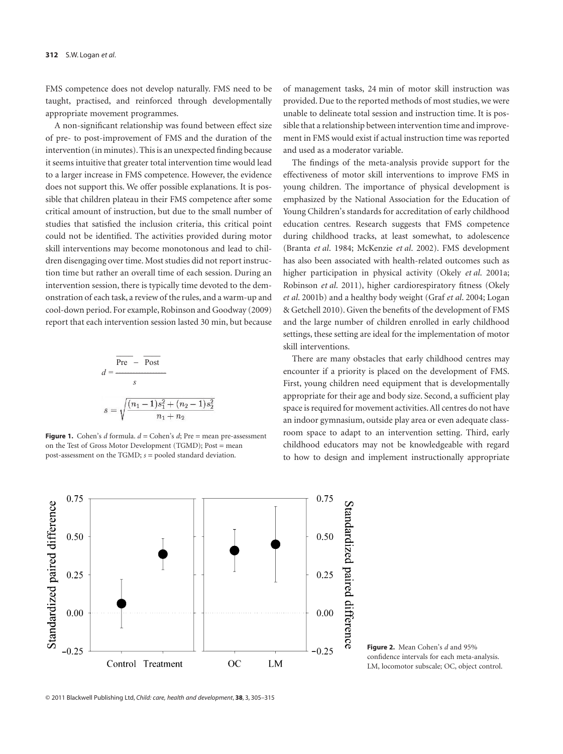FMS competence does not develop naturally. FMS need to be taught, practised, and reinforced through developmentally appropriate movement programmes.

A non-significant relationship was found between effect size of pre- to post-improvement of FMS and the duration of the intervention (in minutes). This is an unexpected finding because it seems intuitive that greater total intervention time would lead to a larger increase in FMS competence. However, the evidence does not support this. We offer possible explanations. It is possible that children plateau in their FMS competence after some critical amount of instruction, but due to the small number of studies that satisfied the inclusion criteria, this critical point could not be identified. The activities provided during motor skill interventions may become monotonous and lead to children disengaging over time. Most studies did not report instruction time but rather an overall time of each session. During an intervention session, there is typically time devoted to the demonstration of each task, a review of the rules, and a warm-up and cool-down period. For example, Robinson and Goodway (2009) report that each intervention session lasted 30 min, but because

$$
d = \frac{\overline{\text{Pre}} - \overline{\text{Post}}}{s}
$$

$$
s = \sqrt{\frac{(n_1 - 1)s_1^2 + (n_2 - 1)s_2^2}{n_1 + n_2}}
$$

**Figure 1.** Cohen's *d* formula. *d* = Cohen's *d*; Pre = mean pre-assessment on the Test of Gross Motor Development (TGMD); Post = mean post-assessment on the TGMD; *s* = pooled standard deviation.

of management tasks, 24 min of motor skill instruction was provided. Due to the reported methods of most studies, we were unable to delineate total session and instruction time. It is possible that a relationship between intervention time and improvement in FMS would exist if actual instruction time was reported and used as a moderator variable.

The findings of the meta-analysis provide support for the effectiveness of motor skill interventions to improve FMS in young children. The importance of physical development is emphasized by the National Association for the Education of Young Children's standards for accreditation of early childhood education centres. Research suggests that FMS competence during childhood tracks, at least somewhat, to adolescence (Branta *et al*. 1984; McKenzie *et al*. 2002). FMS development has also been associated with health-related outcomes such as higher participation in physical activity (Okely *et al*. 2001a; Robinson *et al*. 2011), higher cardiorespiratory fitness (Okely *et al*. 2001b) and a healthy body weight (Graf *et al*. 2004; Logan & Getchell 2010). Given the benefits of the development of FMS and the large number of children enrolled in early childhood settings, these setting are ideal for the implementation of motor skill interventions.

There are many obstacles that early childhood centres may encounter if a priority is placed on the development of FMS. First, young children need equipment that is developmentally appropriate for their age and body size. Second, a sufficient play space is required for movement activities. All centres do not have an indoor gymnasium, outside play area or even adequate classroom space to adapt to an intervention setting. Third, early childhood educators may not be knowledgeable with regard to how to design and implement instructionally appropriate



**Figure 2.** Mean Cohen's *d* and 95% confidence intervals for each meta-analysis. LM, locomotor subscale; OC, object control.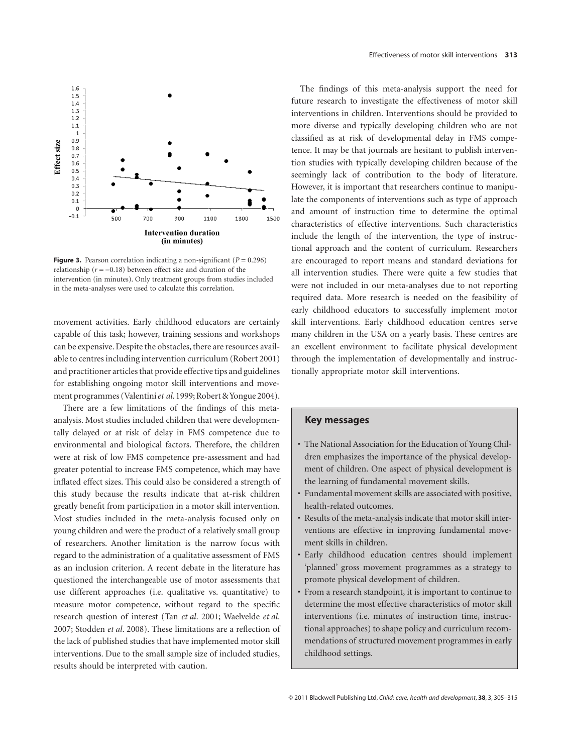

**Figure 3.** Pearson correlation indicating a non-significant ( $P = 0.296$ ) relationship ( $r = -0.18$ ) between effect size and duration of the intervention (in minutes). Only treatment groups from studies included in the meta-analyses were used to calculate this correlation.

movement activities. Early childhood educators are certainly capable of this task; however, training sessions and workshops can be expensive. Despite the obstacles, there are resources available to centres including intervention curriculum (Robert 2001) and practitioner articles that provide effective tips and guidelines for establishing ongoing motor skill interventions and movement programmes (Valentini et al. 1999; Robert & Yongue 2004).

There are a few limitations of the findings of this metaanalysis. Most studies included children that were developmentally delayed or at risk of delay in FMS competence due to environmental and biological factors. Therefore, the children were at risk of low FMS competence pre-assessment and had greater potential to increase FMS competence, which may have inflated effect sizes. This could also be considered a strength of this study because the results indicate that at-risk children greatly benefit from participation in a motor skill intervention. Most studies included in the meta-analysis focused only on young children and were the product of a relatively small group of researchers. Another limitation is the narrow focus with regard to the administration of a qualitative assessment of FMS as an inclusion criterion. A recent debate in the literature has questioned the interchangeable use of motor assessments that use different approaches (i.e. qualitative vs. quantitative) to measure motor competence, without regard to the specific research question of interest (Tan *et al*. 2001; Waelvelde *et al*. 2007; Stodden *et al*. 2008). These limitations are a reflection of the lack of published studies that have implemented motor skill interventions. Due to the small sample size of included studies, results should be interpreted with caution.

The findings of this meta-analysis support the need for future research to investigate the effectiveness of motor skill interventions in children. Interventions should be provided to more diverse and typically developing children who are not classified as at risk of developmental delay in FMS competence. It may be that journals are hesitant to publish intervention studies with typically developing children because of the seemingly lack of contribution to the body of literature. However, it is important that researchers continue to manipulate the components of interventions such as type of approach and amount of instruction time to determine the optimal characteristics of effective interventions. Such characteristics include the length of the intervention, the type of instructional approach and the content of curriculum. Researchers are encouraged to report means and standard deviations for all intervention studies. There were quite a few studies that were not included in our meta-analyses due to not reporting required data. More research is needed on the feasibility of early childhood educators to successfully implement motor skill interventions. Early childhood education centres serve many children in the USA on a yearly basis. These centres are an excellent environment to facilitate physical development through the implementation of developmentally and instructionally appropriate motor skill interventions.

#### **Key messages**

- The National Association for the Education of Young Children emphasizes the importance of the physical development of children. One aspect of physical development is the learning of fundamental movement skills.
- Fundamental movement skills are associated with positive, health-related outcomes.
- Results of the meta-analysis indicate that motor skill interventions are effective in improving fundamental movement skills in children.
- Early childhood education centres should implement 'planned' gross movement programmes as a strategy to promote physical development of children.
- From a research standpoint, it is important to continue to determine the most effective characteristics of motor skill interventions (i.e. minutes of instruction time, instructional approaches) to shape policy and curriculum recommendations of structured movement programmes in early childhood settings.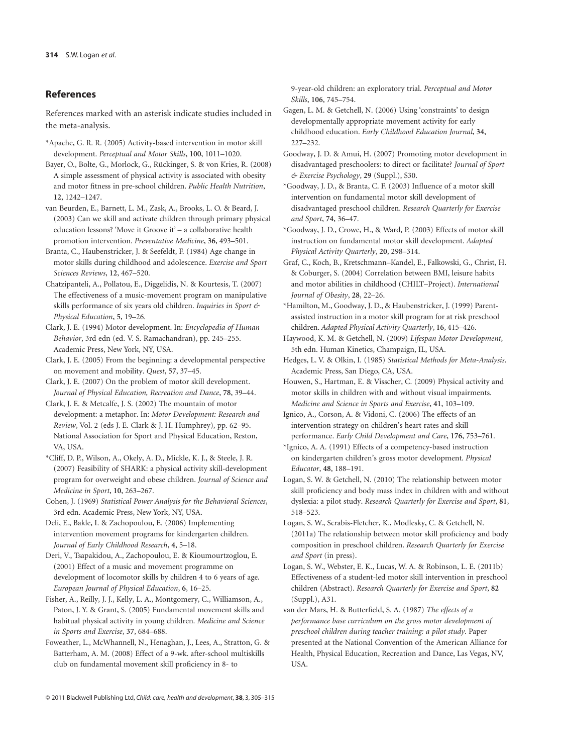# **References**

References marked with an asterisk indicate studies included in the meta-analysis.

- \*Apache, G. R. R. (2005) Activity-based intervention in motor skill development. *Perceptual and Motor Skills*, **100**, 1011–1020.
- Bayer, O., Bolte, G., Morlock, G., Rückinger, S. & von Kries, R. (2008) A simple assessment of physical activity is associated with obesity and motor fitness in pre-school children. *Public Health Nutrition*, **12**, 1242–1247.
- van Beurden, E., Barnett, L. M., Zask, A., Brooks, L. O. & Beard, J. (2003) Can we skill and activate children through primary physical education lessons? 'Move it Groove it' – a collaborative health promotion intervention. *Preventative Medicine*, **36**, 493–501.
- Branta, C., Haubenstricker, J. & Seefeldt, F. (1984) Age change in motor skills during childhood and adolescence. *Exercise and Sport Sciences Reviews*, **12**, 467–520.
- Chatzipanteli, A., Pollatou, E., Diggelidis, N. & Kourtesis, T. (2007) The effectiveness of a music-movement program on manipulative skills performance of six years old children. *Inquiries in Sport & Physical Education*, **5**, 19–26.
- Clark, J. E. (1994) Motor development. In: *Encyclopedia of Human Behavior*, 3rd edn (ed. V. S. Ramachandran), pp. 245–255. Academic Press, New York, NY, USA.
- Clark, J. E. (2005) From the beginning: a developmental perspective on movement and mobility. *Quest*, **57**, 37–45.
- Clark, J. E. (2007) On the problem of motor skill development. *Journal of Physical Education, Recreation and Dance*, **78**, 39–44.
- Clark, J. E. & Metcalfe, J. S. (2002) The mountain of motor development: a metaphor. In: *Motor Development: Research and Review*, Vol. 2 (eds J. E. Clark & J. H. Humphrey), pp. 62–95. National Association for Sport and Physical Education, Reston, VA, USA.
- \*Cliff, D. P., Wilson, A., Okely, A. D., Mickle, K. J., & Steele, J. R. (2007) Feasibility of SHARK: a physical activity skill-development program for overweight and obese children. *Journal of Science and Medicine in Sport*, **10**, 263–267.
- Cohen, J. (1969) *Statistical Power Analysis for the Behavioral Sciences*, 3rd edn. Academic Press, New York, NY, USA.
- Deli, E., Bakle, I. & Zachopoulou, E. (2006) Implementing intervention movement programs for kindergarten children. *Journal of Early Childhood Research*, **4**, 5–18.
- Deri, V., Tsapakidou, A., Zachopoulou, E. & Kioumourtzoglou, E. (2001) Effect of a music and movement programme on development of locomotor skills by children 4 to 6 years of age. *European Journal of Physical Education*, **6**, 16–25.
- Fisher, A., Reilly, J. J., Kelly, L. A., Montgomery, C., Williamson, A., Paton, J. Y. & Grant, S. (2005) Fundamental movement skills and habitual physical activity in young children. *Medicine and Science in Sports and Exercise*, **37**, 684–688.
- Foweather, L., McWhannell, N., Henaghan, J., Lees, A., Stratton, G. & Batterham, A. M. (2008) Effect of a 9-wk. after-school multiskills club on fundamental movement skill proficiency in 8- to

9-year-old children: an exploratory trial. *Perceptual and Motor Skills*, **106**, 745–754.

- Gagen, L. M. & Getchell, N. (2006) Using 'constraints' to design developmentally appropriate movement activity for early childhood education. *Early Childhood Education Journal*, **34**, 227–232.
- Goodway, J. D. & Amui, H. (2007) Promoting motor development in disadvantaged preschoolers: to direct or facilitate? *Journal of Sport & Exercise Psychology*, **29** (Suppl.), S30.
- \*Goodway, J. D., & Branta, C. F. (2003) Influence of a motor skill intervention on fundamental motor skill development of disadvantaged preschool children. *Research Quarterly for Exercise and Sport*, **74**, 36–47.
- \*Goodway, J. D., Crowe, H., & Ward, P. (2003) Effects of motor skill instruction on fundamental motor skill development. *Adapted Physical Activity Quarterly*, **20**, 298–314.
- Graf, C., Koch, B., Kretschmann–Kandel, E., Falkowski, G., Christ, H. & Coburger, S. (2004) Correlation between BMI, leisure habits and motor abilities in childhood (CHILT–Project). *International Journal of Obesity*, **28**, 22–26.
- \*Hamilton, M., Goodway, J. D., & Haubenstricker, J. (1999) Parentassisted instruction in a motor skill program for at risk preschool children. *Adapted Physical Activity Quarterly*, **16**, 415–426.
- Haywood, K. M. & Getchell, N. (2009) *Lifespan Motor Development*, 5th edn. Human Kinetics, Champaign, IL, USA.
- Hedges, L. V. & Olkin, I. (1985) *Statistical Methods for Meta-Analysis*. Academic Press, San Diego, CA, USA.
- Houwen, S., Hartman, E. & Visscher, C. (2009) Physical activity and motor skills in children with and without visual impairments. *Medicine and Science in Sports and Exercise*, **41**, 103–109.
- Ignico, A., Corson, A. & Vidoni, C. (2006) The effects of an intervention strategy on children's heart rates and skill performance. *Early Child Development and Care*, **176**, 753–761.
- \*Ignico, A. A. (1991) Effects of a competency-based instruction on kindergarten children's gross motor development. *Physical Educator*, **48**, 188–191.
- Logan, S. W. & Getchell, N. (2010) The relationship between motor skill proficiency and body mass index in children with and without dyslexia: a pilot study. *Research Quarterly for Exercise and Sport*, **81**, 518–523.
- Logan, S. W., Scrabis-Fletcher, K., Modlesky, C. & Getchell, N. (2011a) The relationship between motor skill proficiency and body composition in preschool children. *Research Quarterly for Exercise and Sport* (in press).
- Logan, S. W., Webster, E. K., Lucas, W. A. & Robinson, L. E. (2011b) Effectiveness of a student-led motor skill intervention in preschool children (Abstract). *Research Quarterly for Exercise and Sport*, **82** (Suppl.), A31.
- van der Mars, H. & Butterfield, S. A. (1987) *The effects of a performance base curriculum on the gross motor development of preschool children during teacher training: a pilot study*. Paper presented at the National Convention of the American Alliance for Health, Physical Education, Recreation and Dance, Las Vegas, NV, USA.